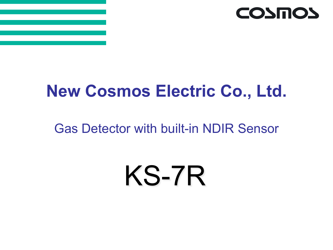

## **New Cosmos Electric Co., Ltd.**

### Gas Detector with built-in NDIR Sensor

# KS-7R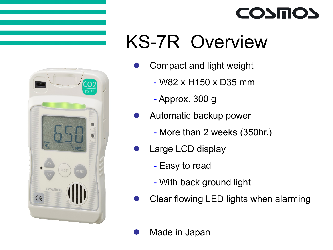

## KS-7R Overview

**COSMOS** 

- Compact and light weight
	- W82 x H150 x D35 mm
	- Approx. 300 g
- Automatic backup power
	- More than 2 weeks (350hr.)
- Large LCD display
	- Easy to read
	- With back ground light
- Clear flowing LED lights when alarming

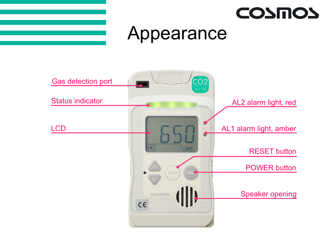



## Appearance

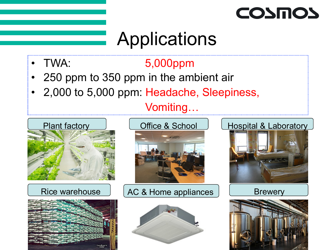

## **Applications**

### • TWA: 5,000ppm

- 250 ppm to 350 ppm in the ambient air
- 2,000 to 5,000 ppm: Headache, Sleepiness,

#### **Vomiting**







#### Rice warehouse | AC & Home appliances | North Brewery



#### Plant factory Coffice & School Chrospital & Laboratory